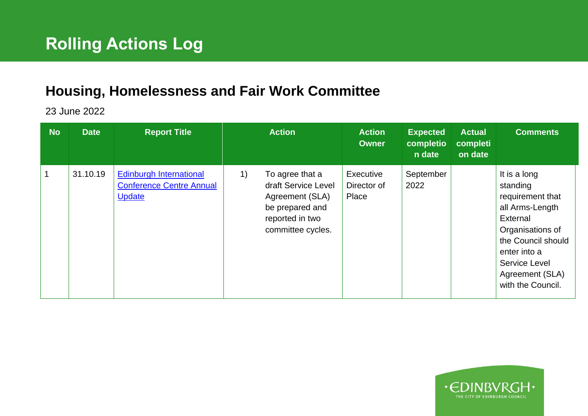## **Housing, Homelessness and Fair Work Committee**

23 June 2022

| <b>No</b> | <b>Date</b> | <b>Report Title</b>                                                                |    | <b>Action</b>                                                                                                        | <b>Action</b><br><b>Owner</b>     | <b>Expected</b><br>completio<br>n date | <b>Actual</b><br>completi<br>on date | <b>Comments</b>                                                                                                                                                                                       |
|-----------|-------------|------------------------------------------------------------------------------------|----|----------------------------------------------------------------------------------------------------------------------|-----------------------------------|----------------------------------------|--------------------------------------|-------------------------------------------------------------------------------------------------------------------------------------------------------------------------------------------------------|
|           | 31.10.19    | <b>Edinburgh International</b><br><b>Conference Centre Annual</b><br><b>Update</b> | 1) | To agree that a<br>draft Service Level<br>Agreement (SLA)<br>be prepared and<br>reported in two<br>committee cycles. | Executive<br>Director of<br>Place | September<br>2022                      |                                      | It is a long<br>standing<br>requirement that<br>all Arms-Length<br>External<br>Organisations of<br>the Council should<br>enter into a<br><b>Service Level</b><br>Agreement (SLA)<br>with the Council. |

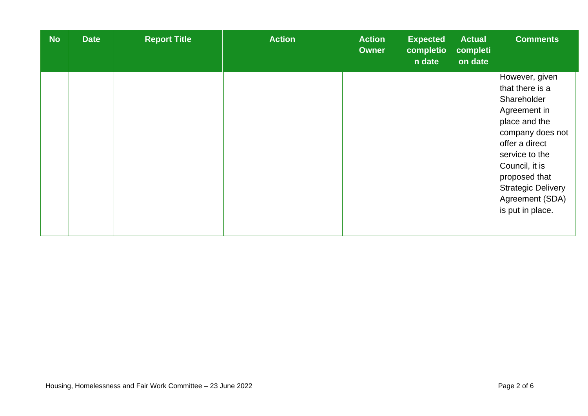| <b>No</b> | <b>Date</b> | <b>Report Title</b> | <b>Action</b> | <b>Action</b><br><b>Owner</b> | <b>Expected</b><br>completio<br>n date | <b>Actual</b><br>completi<br>on date | <b>Comments</b>                                                                                                                                                                                                                                  |
|-----------|-------------|---------------------|---------------|-------------------------------|----------------------------------------|--------------------------------------|--------------------------------------------------------------------------------------------------------------------------------------------------------------------------------------------------------------------------------------------------|
|           |             |                     |               |                               |                                        |                                      | However, given<br>that there is a<br>Shareholder<br>Agreement in<br>place and the<br>company does not<br>offer a direct<br>service to the<br>Council, it is<br>proposed that<br><b>Strategic Delivery</b><br>Agreement (SDA)<br>is put in place. |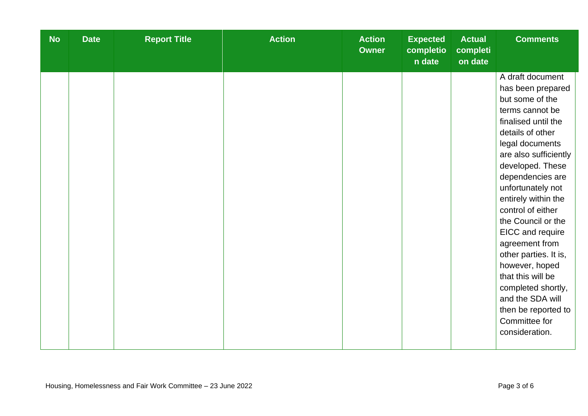| <b>No</b> | <b>Date</b> | <b>Report Title</b> | <b>Action</b> | <b>Action</b><br><b>Owner</b> | <b>Expected</b><br>completio<br>n date | <b>Actual</b><br>completi<br>on date | <b>Comments</b>                                                                                                                                                                                                                                                                                                                                                                                                                                                                                             |
|-----------|-------------|---------------------|---------------|-------------------------------|----------------------------------------|--------------------------------------|-------------------------------------------------------------------------------------------------------------------------------------------------------------------------------------------------------------------------------------------------------------------------------------------------------------------------------------------------------------------------------------------------------------------------------------------------------------------------------------------------------------|
|           |             |                     |               |                               |                                        |                                      | A draft document<br>has been prepared<br>but some of the<br>terms cannot be<br>finalised until the<br>details of other<br>legal documents<br>are also sufficiently<br>developed. These<br>dependencies are<br>unfortunately not<br>entirely within the<br>control of either<br>the Council or the<br>EICC and require<br>agreement from<br>other parties. It is,<br>however, hoped<br>that this will be<br>completed shortly,<br>and the SDA will<br>then be reported to<br>Committee for<br>consideration. |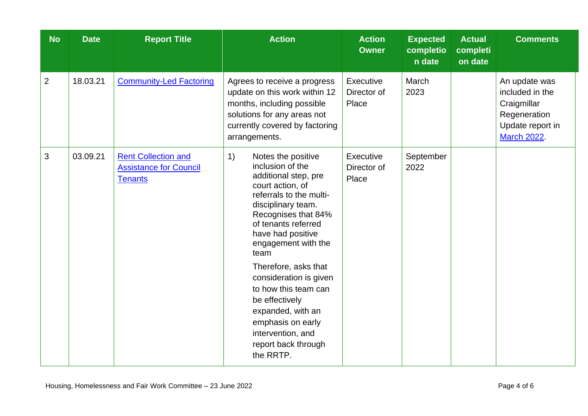| <b>No</b>      | <b>Date</b> | <b>Report Title</b>                                                           | <b>Action</b>                                                                                                                                                                                                                                                                                                                                                                                                                              | <b>Action</b><br><b>Owner</b>            | <b>Expected</b><br>completio<br>n date | <b>Actual</b><br>completi<br>on date | <b>Comments</b>                                                                                           |
|----------------|-------------|-------------------------------------------------------------------------------|--------------------------------------------------------------------------------------------------------------------------------------------------------------------------------------------------------------------------------------------------------------------------------------------------------------------------------------------------------------------------------------------------------------------------------------------|------------------------------------------|----------------------------------------|--------------------------------------|-----------------------------------------------------------------------------------------------------------|
| $\overline{2}$ | 18.03.21    | <b>Community-Led Factoring</b>                                                | Agrees to receive a progress<br>update on this work within 12<br>months, including possible<br>solutions for any areas not<br>currently covered by factoring<br>arrangements.                                                                                                                                                                                                                                                              | Executive<br>Director of<br>Place        | March<br>2023                          |                                      | An update was<br>included in the<br>Craigmillar<br>Regeneration<br>Update report in<br><b>March 2022.</b> |
| 3              | 03.09.21    | <b>Rent Collection and</b><br><b>Assistance for Council</b><br><b>Tenants</b> | 1)<br>Notes the positive<br>inclusion of the<br>additional step, pre<br>court action, of<br>referrals to the multi-<br>disciplinary team.<br>Recognises that 84%<br>of tenants referred<br>have had positive<br>engagement with the<br>team<br>Therefore, asks that<br>consideration is given<br>to how this team can<br>be effectively<br>expanded, with an<br>emphasis on early<br>intervention, and<br>report back through<br>the RRTP. | <b>Executive</b><br>Director of<br>Place | September<br>2022                      |                                      |                                                                                                           |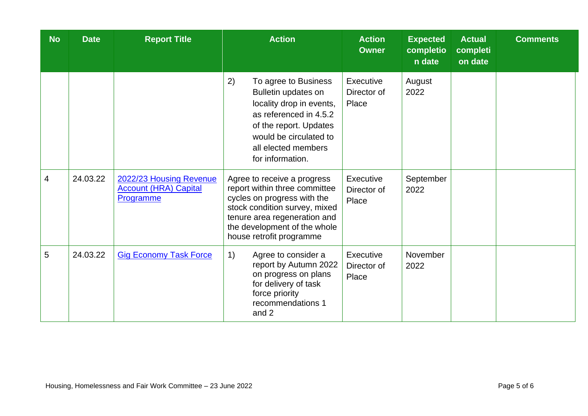| <b>No</b> | <b>Date</b> | <b>Report Title</b>                                                  | <b>Action</b>                                                                                                                                                                                                            | <b>Action</b><br><b>Owner</b>     | <b>Expected</b><br>completio<br>$n$ date | <b>Actual</b><br>completi<br>on date | <b>Comments</b> |
|-----------|-------------|----------------------------------------------------------------------|--------------------------------------------------------------------------------------------------------------------------------------------------------------------------------------------------------------------------|-----------------------------------|------------------------------------------|--------------------------------------|-----------------|
|           |             |                                                                      | 2)<br>To agree to Business<br>Bulletin updates on<br>locality drop in events,<br>as referenced in 4.5.2<br>of the report. Updates<br>would be circulated to<br>all elected members<br>for information.                   | Executive<br>Director of<br>Place | August<br>2022                           |                                      |                 |
| 4         | 24.03.22    | 2022/23 Housing Revenue<br><b>Account (HRA) Capital</b><br>Programme | Agree to receive a progress<br>report within three committee<br>cycles on progress with the<br>stock condition survey, mixed<br>tenure area regeneration and<br>the development of the whole<br>house retrofit programme | Executive<br>Director of<br>Place | September<br>2022                        |                                      |                 |
| 5         | 24.03.22    | <b>Gig Economy Task Force</b>                                        | 1)<br>Agree to consider a<br>report by Autumn 2022<br>on progress on plans<br>for delivery of task<br>force priority<br>recommendations 1<br>and 2                                                                       | Executive<br>Director of<br>Place | November<br>2022                         |                                      |                 |